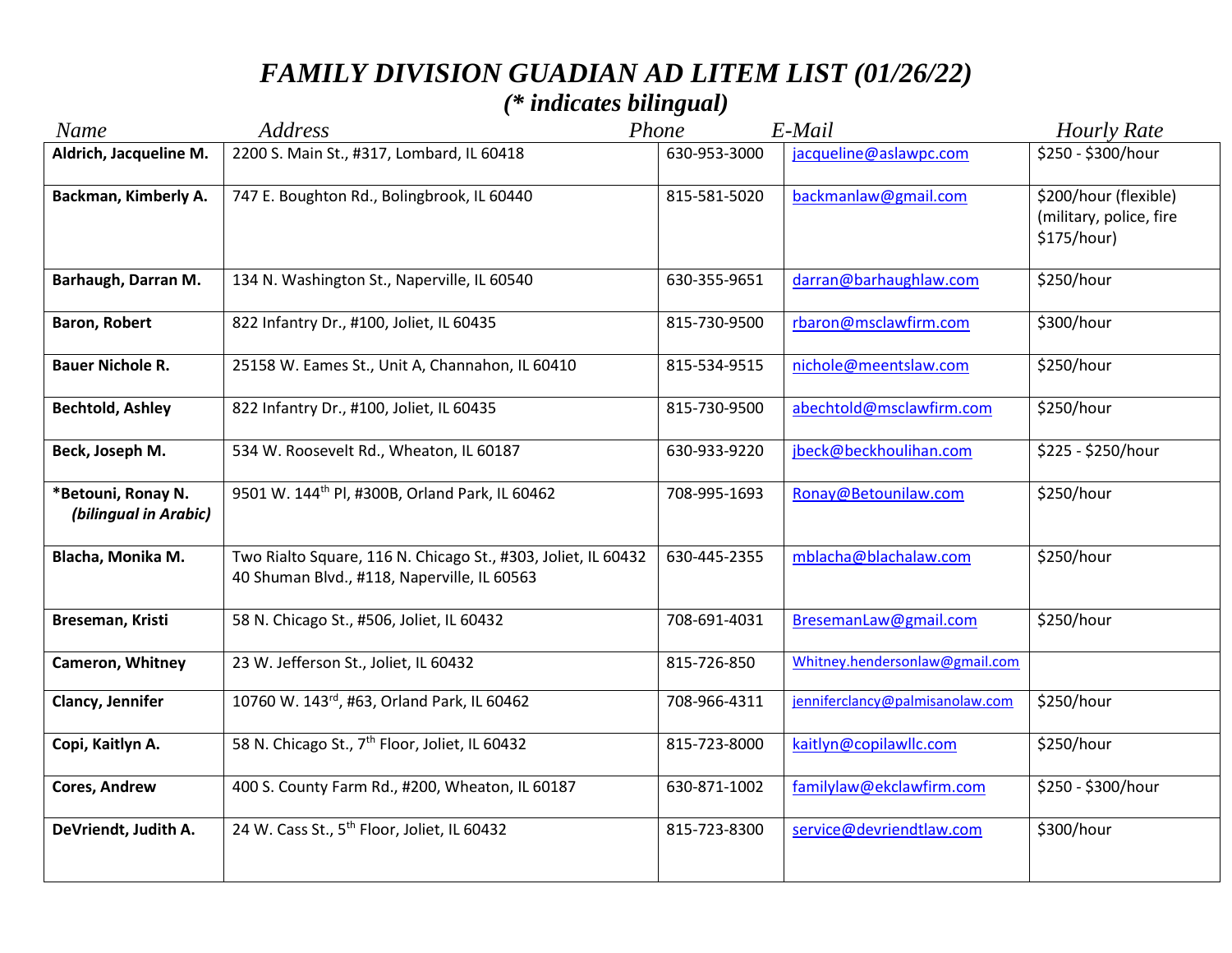## *FAMILY DIVISION GUADIAN AD LITEM LIST (01/26/22)*

## *(\* indicates bilingual)*

| <b>Name</b>                                 | <b>Address</b>                                                                                               | Phone        | E-Mail                          | <b>Hourly Rate</b>                                              |
|---------------------------------------------|--------------------------------------------------------------------------------------------------------------|--------------|---------------------------------|-----------------------------------------------------------------|
| Aldrich, Jacqueline M.                      | 2200 S. Main St., #317, Lombard, IL 60418                                                                    | 630-953-3000 | jacqueline@aslawpc.com          | \$250 - \$300/hour                                              |
| Backman, Kimberly A.                        | 747 E. Boughton Rd., Bolingbrook, IL 60440                                                                   | 815-581-5020 | backmanlaw@gmail.com            | \$200/hour (flexible)<br>(military, police, fire<br>\$175/hour) |
| Barhaugh, Darran M.                         | 134 N. Washington St., Naperville, IL 60540                                                                  | 630-355-9651 | darran@barhaughlaw.com          | \$250/hour                                                      |
| <b>Baron, Robert</b>                        | 822 Infantry Dr., #100, Joliet, IL 60435                                                                     | 815-730-9500 | rbaron@msclawfirm.com           | \$300/hour                                                      |
| <b>Bauer Nichole R.</b>                     | 25158 W. Eames St., Unit A, Channahon, IL 60410                                                              | 815-534-9515 | nichole@meentslaw.com           | \$250/hour                                                      |
| <b>Bechtold, Ashley</b>                     | 822 Infantry Dr., #100, Joliet, IL 60435                                                                     | 815-730-9500 | abechtold@msclawfirm.com        | \$250/hour                                                      |
| Beck, Joseph M.                             | 534 W. Roosevelt Rd., Wheaton, IL 60187                                                                      | 630-933-9220 | jbeck@beckhoulihan.com          | \$225 - \$250/hour                                              |
| *Betouni, Ronay N.<br>(bilingual in Arabic) | 9501 W. 144 <sup>th</sup> Pl, #300B, Orland Park, IL 60462                                                   | 708-995-1693 | Ronay@Betounilaw.com            | \$250/hour                                                      |
| Blacha, Monika M.                           | Two Rialto Square, 116 N. Chicago St., #303, Joliet, IL 60432<br>40 Shuman Blvd., #118, Naperville, IL 60563 | 630-445-2355 | mblacha@blachalaw.com           | \$250/hour                                                      |
| Breseman, Kristi                            | 58 N. Chicago St., #506, Joliet, IL 60432                                                                    | 708-691-4031 | BresemanLaw@gmail.com           | \$250/hour                                                      |
| Cameron, Whitney                            | 23 W. Jefferson St., Joliet, IL 60432                                                                        | 815-726-850  | Whitney.hendersonlaw@gmail.com  |                                                                 |
| Clancy, Jennifer                            | 10760 W. 143rd, #63, Orland Park, IL 60462                                                                   | 708-966-4311 | jenniferclancy@palmisanolaw.com | \$250/hour                                                      |
| Copi, Kaitlyn A.                            | 58 N. Chicago St., 7 <sup>th</sup> Floor, Joliet, IL 60432                                                   | 815-723-8000 | kaitlyn@copilawllc.com          | \$250/hour                                                      |
| <b>Cores, Andrew</b>                        | 400 S. County Farm Rd., #200, Wheaton, IL 60187                                                              | 630-871-1002 | familylaw@ekclawfirm.com        | \$250 - \$300/hour                                              |
| DeVriendt, Judith A.                        | 24 W. Cass St., 5 <sup>th</sup> Floor, Joliet, IL 60432                                                      | 815-723-8300 | service@devriendtlaw.com        | \$300/hour                                                      |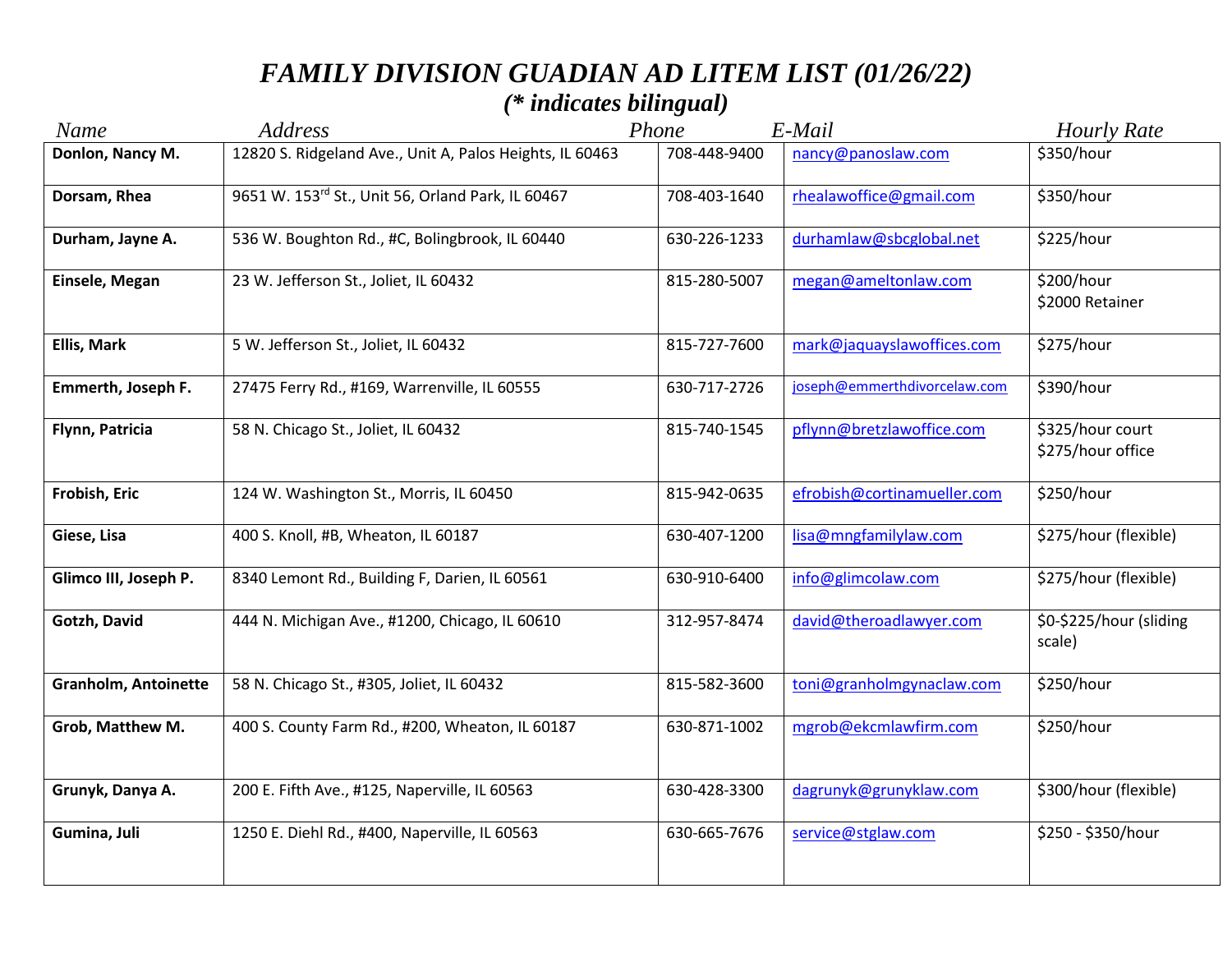| Name                        | <b>Address</b>                                           | Phone        | E-Mail                       | <b>Hourly Rate</b>                    |
|-----------------------------|----------------------------------------------------------|--------------|------------------------------|---------------------------------------|
| Donlon, Nancy M.            | 12820 S. Ridgeland Ave., Unit A, Palos Heights, IL 60463 | 708-448-9400 | nancy@panoslaw.com           | \$350/hour                            |
| Dorsam, Rhea                | 9651 W. 153rd St., Unit 56, Orland Park, IL 60467        | 708-403-1640 | rhealawoffice@gmail.com      | \$350/hour                            |
| Durham, Jayne A.            | 536 W. Boughton Rd., #C, Bolingbrook, IL 60440           | 630-226-1233 | durhamlaw@sbcglobal.net      | \$225/hour                            |
| Einsele, Megan              | 23 W. Jefferson St., Joliet, IL 60432                    | 815-280-5007 | megan@ameltonlaw.com         | \$200/hour<br>\$2000 Retainer         |
| <b>Ellis, Mark</b>          | 5 W. Jefferson St., Joliet, IL 60432                     | 815-727-7600 | mark@jaquayslawoffices.com   | \$275/hour                            |
| Emmerth, Joseph F.          | 27475 Ferry Rd., #169, Warrenville, IL 60555             | 630-717-2726 | joseph@emmerthdivorcelaw.com | \$390/hour                            |
| Flynn, Patricia             | 58 N. Chicago St., Joliet, IL 60432                      | 815-740-1545 | pflynn@bretzlawoffice.com    | \$325/hour court<br>\$275/hour office |
| Frobish, Eric               | 124 W. Washington St., Morris, IL 60450                  | 815-942-0635 | efrobish@cortinamueller.com  | \$250/hour                            |
| Giese, Lisa                 | 400 S. Knoll, #B, Wheaton, IL 60187                      | 630-407-1200 | lisa@mngfamilylaw.com        | \$275/hour (flexible)                 |
| Glimco III, Joseph P.       | 8340 Lemont Rd., Building F, Darien, IL 60561            | 630-910-6400 | info@glimcolaw.com           | \$275/hour (flexible)                 |
| Gotzh, David                | 444 N. Michigan Ave., #1200, Chicago, IL 60610           | 312-957-8474 | david@theroadlawyer.com      | \$0-\$225/hour (sliding<br>scale)     |
| <b>Granholm, Antoinette</b> | 58 N. Chicago St., #305, Joliet, IL 60432                | 815-582-3600 | toni@granholmgynaclaw.com    | \$250/hour                            |
| Grob, Matthew M.            | 400 S. County Farm Rd., #200, Wheaton, IL 60187          | 630-871-1002 | mgrob@ekcmlawfirm.com        | \$250/hour                            |
| Grunyk, Danya A.            | 200 E. Fifth Ave., #125, Naperville, IL 60563            | 630-428-3300 | dagrunyk@grunyklaw.com       | \$300/hour (flexible)                 |
| Gumina, Juli                | 1250 E. Diehl Rd., #400, Naperville, IL 60563            | 630-665-7676 | service@stglaw.com           | \$250 - \$350/hour                    |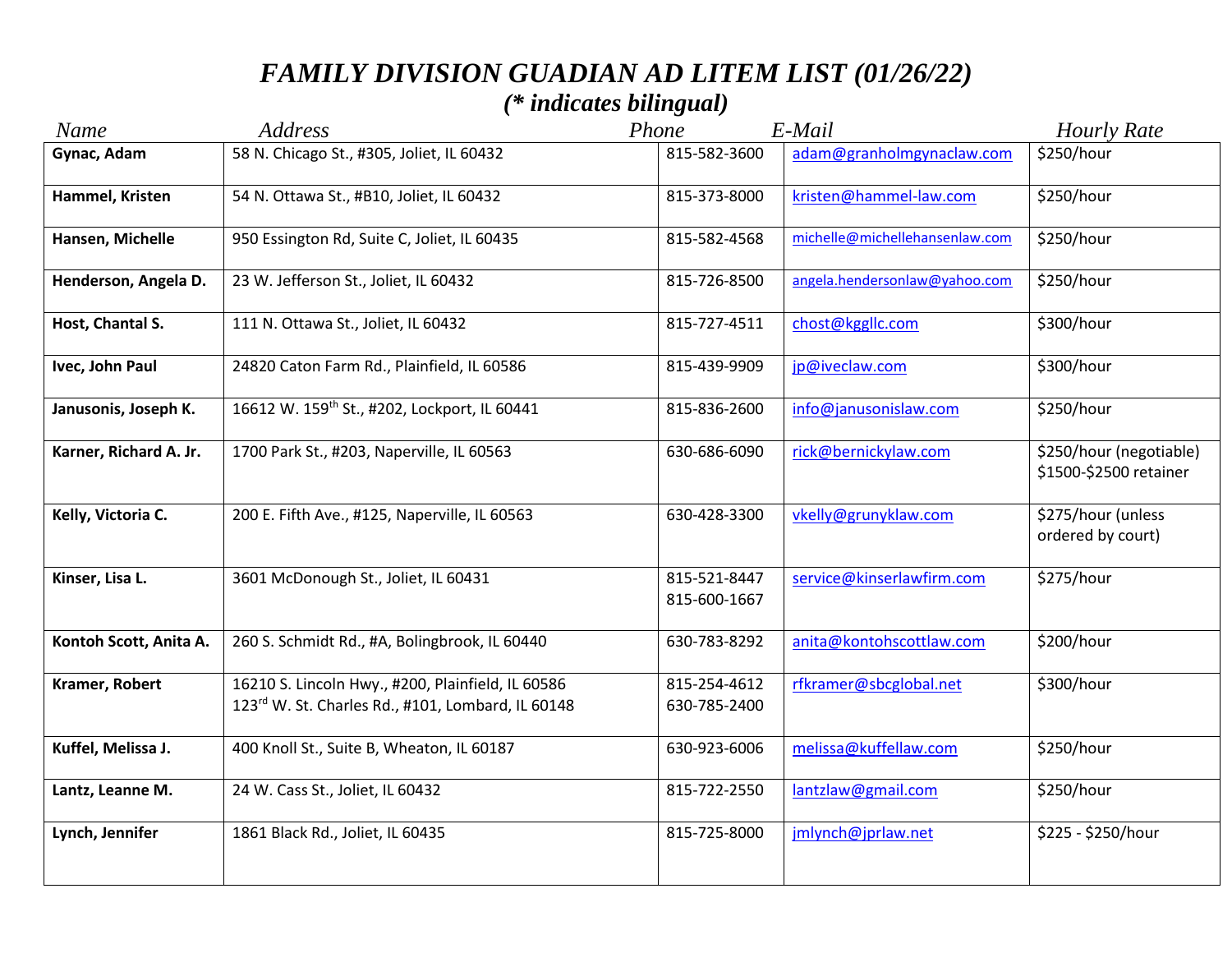| Name                   | Address                                                                                                | Phone                        | E-Mail                         | <b>Hourly Rate</b>                                |
|------------------------|--------------------------------------------------------------------------------------------------------|------------------------------|--------------------------------|---------------------------------------------------|
| Gynac, Adam            | 58 N. Chicago St., #305, Joliet, IL 60432                                                              | 815-582-3600                 | adam@granholmgynaclaw.com      | \$250/hour                                        |
| Hammel, Kristen        | 54 N. Ottawa St., #B10, Joliet, IL 60432                                                               | 815-373-8000                 | kristen@hammel-law.com         | \$250/hour                                        |
| Hansen, Michelle       | 950 Essington Rd, Suite C, Joliet, IL 60435                                                            | 815-582-4568                 | michelle@michellehansenlaw.com | \$250/hour                                        |
| Henderson, Angela D.   | 23 W. Jefferson St., Joliet, IL 60432                                                                  | 815-726-8500                 | angela.hendersonlaw@yahoo.com  | \$250/hour                                        |
| Host, Chantal S.       | 111 N. Ottawa St., Joliet, IL 60432                                                                    | 815-727-4511                 | chost@kggllc.com               | \$300/hour                                        |
| Ivec, John Paul        | 24820 Caton Farm Rd., Plainfield, IL 60586                                                             | 815-439-9909                 | jp@iveclaw.com                 | \$300/hour                                        |
| Janusonis, Joseph K.   | 16612 W. 159 <sup>th</sup> St., #202, Lockport, IL 60441                                               | 815-836-2600                 | info@janusonislaw.com          | \$250/hour                                        |
| Karner, Richard A. Jr. | 1700 Park St., #203, Naperville, IL 60563                                                              | 630-686-6090                 | rick@bernickylaw.com           | \$250/hour (negotiable)<br>\$1500-\$2500 retainer |
| Kelly, Victoria C.     | 200 E. Fifth Ave., #125, Naperville, IL 60563                                                          | 630-428-3300                 | vkelly@grunyklaw.com           | \$275/hour (unless<br>ordered by court)           |
| Kinser, Lisa L.        | 3601 McDonough St., Joliet, IL 60431                                                                   | 815-521-8447<br>815-600-1667 | service@kinserlawfirm.com      | \$275/hour                                        |
| Kontoh Scott, Anita A. | 260 S. Schmidt Rd., #A, Bolingbrook, IL 60440                                                          | 630-783-8292                 | anita@kontohscottlaw.com       | \$200/hour                                        |
| Kramer, Robert         | 16210 S. Lincoln Hwy., #200, Plainfield, IL 60586<br>123rd W. St. Charles Rd., #101, Lombard, IL 60148 | 815-254-4612<br>630-785-2400 | rfkramer@sbcglobal.net         | \$300/hour                                        |
| Kuffel, Melissa J.     | 400 Knoll St., Suite B, Wheaton, IL 60187                                                              | 630-923-6006                 | melissa@kuffellaw.com          | \$250/hour                                        |
| Lantz, Leanne M.       | 24 W. Cass St., Joliet, IL 60432                                                                       | 815-722-2550                 | lantzlaw@gmail.com             | \$250/hour                                        |
| Lynch, Jennifer        | 1861 Black Rd., Joliet, IL 60435                                                                       | 815-725-8000                 | jmlynch@jprlaw.net             | \$225 - \$250/hour                                |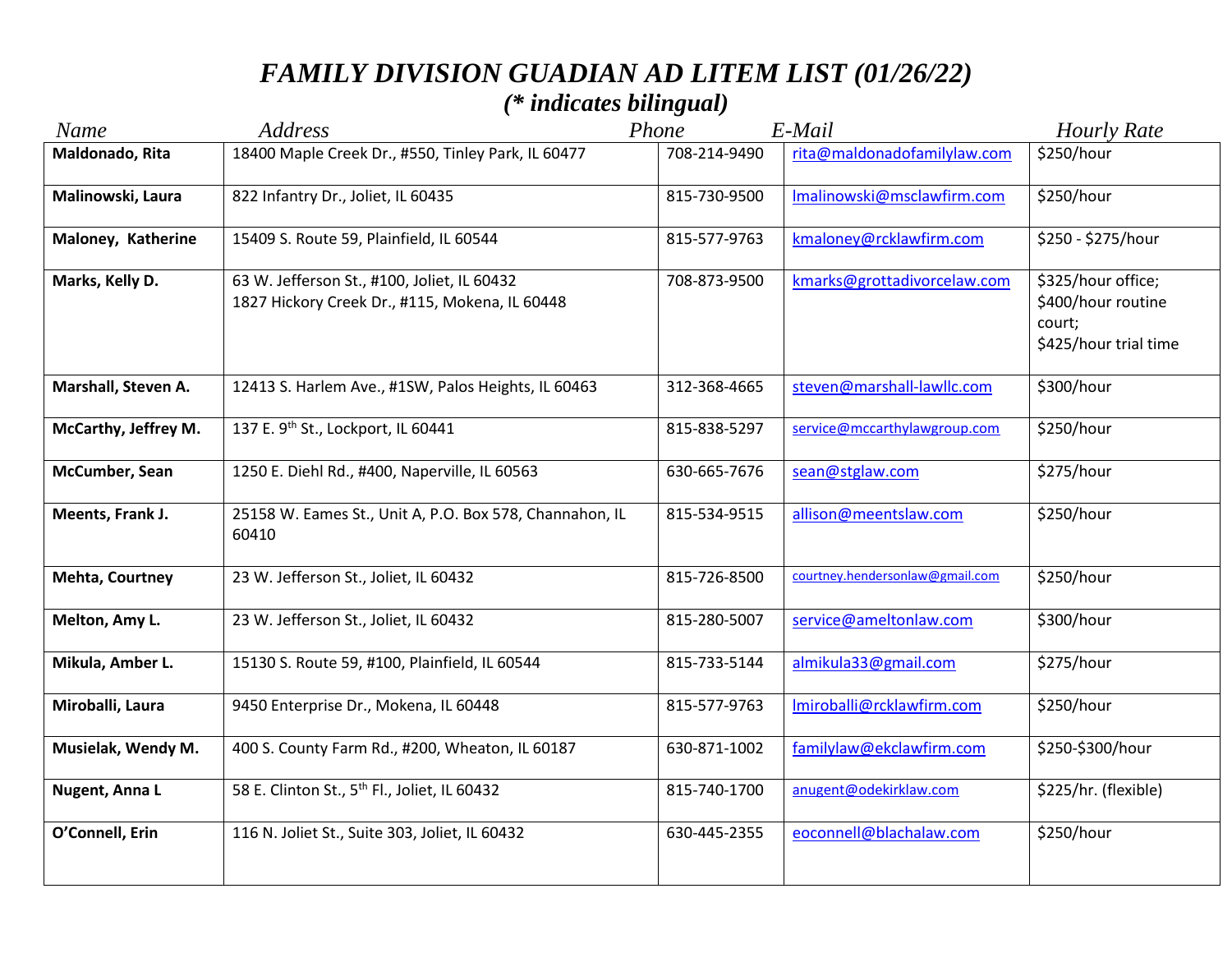# *FAMILY DIVISION GUADIAN AD LITEM LIST (01/26/22)*

## *(\* indicates bilingual)*

| <b>Name</b>            | <b>Address</b>                                                                                | Phone        | E-Mail                          | <b>Hourly Rate</b>                                                          |
|------------------------|-----------------------------------------------------------------------------------------------|--------------|---------------------------------|-----------------------------------------------------------------------------|
| Maldonado, Rita        | 18400 Maple Creek Dr., #550, Tinley Park, IL 60477                                            | 708-214-9490 | rita@maldonadofamilylaw.com     | \$250/hour                                                                  |
| Malinowski, Laura      | 822 Infantry Dr., Joliet, IL 60435                                                            | 815-730-9500 | Imalinowski@msclawfirm.com      | \$250/hour                                                                  |
| Maloney, Katherine     | 15409 S. Route 59, Plainfield, IL 60544                                                       | 815-577-9763 | kmaloney@rcklawfirm.com         | \$250 - \$275/hour                                                          |
| Marks, Kelly D.        | 63 W. Jefferson St., #100, Joliet, IL 60432<br>1827 Hickory Creek Dr., #115, Mokena, IL 60448 | 708-873-9500 | kmarks@grottadivorcelaw.com     | \$325/hour office;<br>\$400/hour routine<br>court;<br>\$425/hour trial time |
| Marshall, Steven A.    | 12413 S. Harlem Ave., #1SW, Palos Heights, IL 60463                                           | 312-368-4665 | steven@marshall-lawllc.com      | \$300/hour                                                                  |
| McCarthy, Jeffrey M.   | 137 E. 9th St., Lockport, IL 60441                                                            | 815-838-5297 | service@mccarthylawgroup.com    | \$250/hour                                                                  |
| McCumber, Sean         | 1250 E. Diehl Rd., #400, Naperville, IL 60563                                                 | 630-665-7676 | sean@stglaw.com                 | \$275/hour                                                                  |
| Meents, Frank J.       | 25158 W. Eames St., Unit A, P.O. Box 578, Channahon, IL<br>60410                              | 815-534-9515 | allison@meentslaw.com           | \$250/hour                                                                  |
| <b>Mehta, Courtney</b> | 23 W. Jefferson St., Joliet, IL 60432                                                         | 815-726-8500 | courtney.hendersonlaw@gmail.com | \$250/hour                                                                  |
| Melton, Amy L.         | 23 W. Jefferson St., Joliet, IL 60432                                                         | 815-280-5007 | service@ameltonlaw.com          | \$300/hour                                                                  |
| Mikula, Amber L.       | 15130 S. Route 59, #100, Plainfield, IL 60544                                                 | 815-733-5144 | almikula33@gmail.com            | \$275/hour                                                                  |
| Miroballi, Laura       | 9450 Enterprise Dr., Mokena, IL 60448                                                         | 815-577-9763 | Imiroballi@rcklawfirm.com       | \$250/hour                                                                  |
| Musielak, Wendy M.     | 400 S. County Farm Rd., #200, Wheaton, IL 60187                                               | 630-871-1002 | familylaw@ekclawfirm.com        | \$250-\$300/hour                                                            |
| Nugent, Anna L         | 58 E. Clinton St., 5 <sup>th</sup> Fl., Joliet, IL 60432                                      | 815-740-1700 | anugent@odekirklaw.com          | \$225/hr. (flexible)                                                        |
| O'Connell, Erin        | 116 N. Joliet St., Suite 303, Joliet, IL 60432                                                | 630-445-2355 | eoconnell@blachalaw.com         | \$250/hour                                                                  |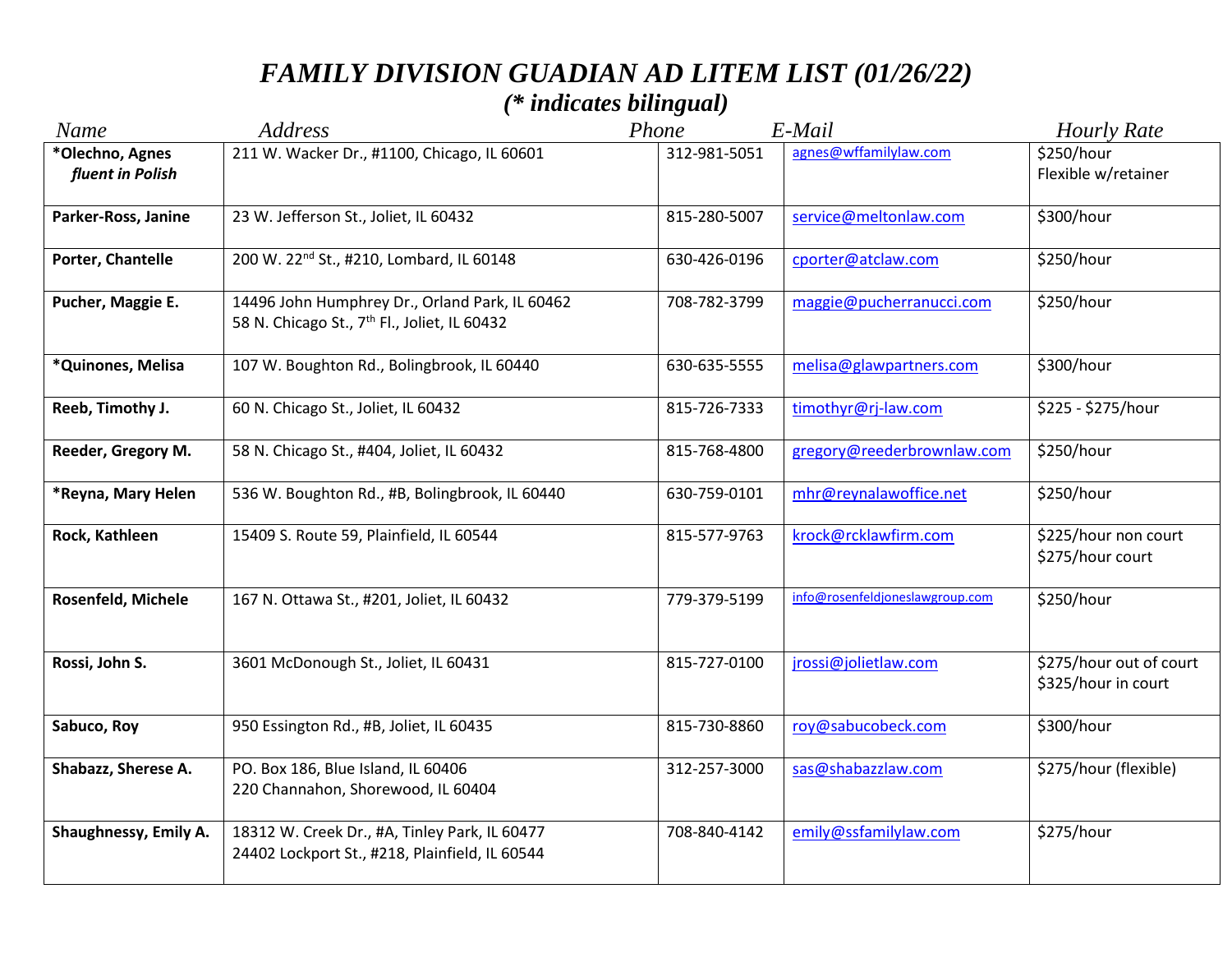| Name                                | Address                                                                                                    | Phone        | E-Mail                          | <b>Hourly Rate</b>                             |
|-------------------------------------|------------------------------------------------------------------------------------------------------------|--------------|---------------------------------|------------------------------------------------|
| *Olechno, Agnes<br>fluent in Polish | 211 W. Wacker Dr., #1100, Chicago, IL 60601                                                                | 312-981-5051 | agnes@wffamilylaw.com           | \$250/hour<br>Flexible w/retainer              |
| Parker-Ross, Janine                 | 23 W. Jefferson St., Joliet, IL 60432                                                                      | 815-280-5007 | service@meltonlaw.com           | \$300/hour                                     |
| Porter, Chantelle                   | 200 W. 22 <sup>nd</sup> St., #210, Lombard, IL 60148                                                       | 630-426-0196 | cporter@atclaw.com              | \$250/hour                                     |
| Pucher, Maggie E.                   | 14496 John Humphrey Dr., Orland Park, IL 60462<br>58 N. Chicago St., 7 <sup>th</sup> Fl., Joliet, IL 60432 | 708-782-3799 | maggie@pucherranucci.com        | \$250/hour                                     |
| *Quinones, Melisa                   | 107 W. Boughton Rd., Bolingbrook, IL 60440                                                                 | 630-635-5555 | melisa@glawpartners.com         | \$300/hour                                     |
| Reeb, Timothy J.                    | 60 N. Chicago St., Joliet, IL 60432                                                                        | 815-726-7333 | timothyr@rj-law.com             | \$225 - \$275/hour                             |
| Reeder, Gregory M.                  | 58 N. Chicago St., #404, Joliet, IL 60432                                                                  | 815-768-4800 | gregory@reederbrownlaw.com      | \$250/hour                                     |
| *Reyna, Mary Helen                  | 536 W. Boughton Rd., #B, Bolingbrook, IL 60440                                                             | 630-759-0101 | mhr@reynalawoffice.net          | \$250/hour                                     |
| Rock, Kathleen                      | 15409 S. Route 59, Plainfield, IL 60544                                                                    | 815-577-9763 | krock@rcklawfirm.com            | \$225/hour non court<br>\$275/hour court       |
| Rosenfeld, Michele                  | 167 N. Ottawa St., #201, Joliet, IL 60432                                                                  | 779-379-5199 | info@rosenfeldjoneslawgroup.com | \$250/hour                                     |
| Rossi, John S.                      | 3601 McDonough St., Joliet, IL 60431                                                                       | 815-727-0100 | jrossi@jolietlaw.com            | \$275/hour out of court<br>\$325/hour in court |
| Sabuco, Roy                         | 950 Essington Rd., #B, Joliet, IL 60435                                                                    | 815-730-8860 | roy@sabucobeck.com              | \$300/hour                                     |
| Shabazz, Sherese A.                 | PO. Box 186, Blue Island, IL 60406<br>220 Channahon, Shorewood, IL 60404                                   | 312-257-3000 | sas@shabazzlaw.com              | \$275/hour (flexible)                          |
| Shaughnessy, Emily A.               | 18312 W. Creek Dr., #A, Tinley Park, IL 60477<br>24402 Lockport St., #218, Plainfield, IL 60544            | 708-840-4142 | emily@ssfamilylaw.com           | \$275/hour                                     |